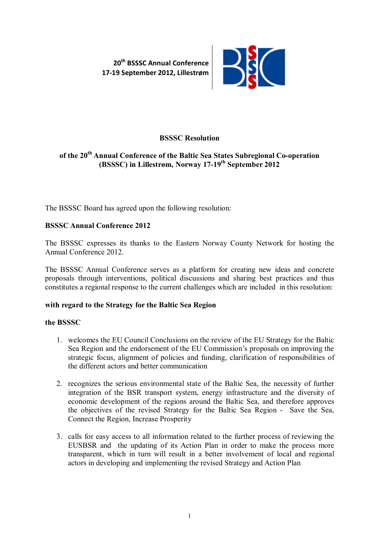**20th BSSSC Annual Conference 17-19 September 2012, Lillestrøm**



## **BSSSC Resolution**

# **of the 20th Annual Conference of the Baltic Sea States Subregional Co-operation (BSSSC) in Lillestrøm, Norway 17-19th September 2012**

The BSSSC Board has agreed upon the following resolution:

## **BSSSC Annual Conference 2012**

The BSSSC expresses its thanks to the Eastern Norway County Network for hosting the Annual Conference 2012.

The BSSSC Annual Conference serves as a platform for creating new ideas and concrete proposals through interventions, political discussions and sharing best practices and thus constitutes a regional response to the current challenges which are included in this resolution:

## **with regard to the Strategy for the Baltic Sea Region**

- 1. welcomes the EU Council Conclusions on the review of the EU Strategy for the Baltic Sea Region and the endorsement of the EU Commission's proposals on improving the strategic focus, alignment of policies and funding, clarification of responsibilities of the different actors and better communication
- 2. recognizes the serious environmental state of the Baltic Sea, the necessity of further integration of the BSR transport system, energy infrastructure and the diversity of economic development of the regions around the Baltic Sea, and therefore approves the objectives of the revised Strategy for the Baltic Sea Region - Save the Sea, Connect the Region, Increase Prosperity
- 3. calls for easy access to all information related to the further process of reviewing the EUSBSR and the updating of its Action Plan in order to make the process more transparent, which in turn will result in a better involvement of local and regional actors in developing and implementing the revised Strategy and Action Plan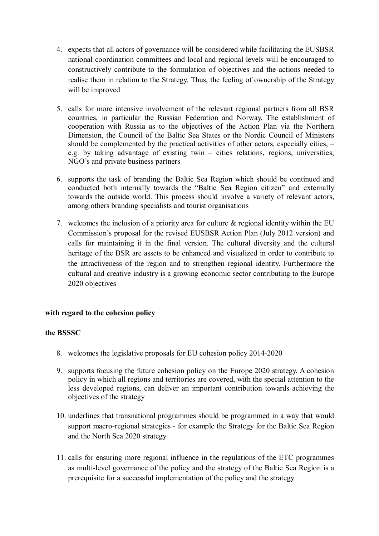- 4. expects that all actors of governance will be considered while facilitating the EUSBSR national coordination committees and local and regional levels will be encouraged to constructively contribute to the formulation of objectives and the actions needed to realise them in relation to the Strategy. Thus, the feeling of ownership of the Strategy will be improved
- 5. calls for more intensive involvement of the relevant regional partners from all BSR countries, in particular the Russian Federation and Norway, The establishment of cooperation with Russia as to the objectives of the Action Plan via the Northern Dimension, the Council of the Baltic Sea States or the Nordic Council of Ministers should be complemented by the practical activities of other actors, especially cities, – e.g. by taking advantage of existing twin – cities relations, regions, universities, NGO's and private business partners
- 6. supports the task of branding the Baltic Sea Region which should be continued and conducted both internally towards the "Baltic Sea Region citizen" and externally towards the outside world. This process should involve a variety of relevant actors, among others branding specialists and tourist organisations
- 7. welcomes the inclusion of a priority area for culture & regional identity within the EU Commission's proposal for the revised EUSBSR Action Plan (July 2012 version) and calls for maintaining it in the final version. The cultural diversity and the cultural heritage of the BSR are assets to be enhanced and visualized in order to contribute to the attractiveness of the region and to strengthen regional identity. Furthermore the cultural and creative industry is a growing economic sector contributing to the Europe 2020 objectives

## **with regard to the cohesion policy**

- 8. welcomes the legislative proposals for EU cohesion policy 2014-2020
- 9. supports focusing the future cohesion policy on the Europe 2020 strategy. A cohesion policy in which all regions and territories are covered, with the special attention to the less developed regions, can deliver an important contribution towards achieving the objectives of the strategy
- 10. underlines that transnational programmes should be programmed in a way that would support macro-regional strategies - for example the Strategy for the Baltic Sea Region and the North Sea 2020 strategy
- 11. calls for ensuring more regional influence in the regulations of the ETC programmes as multi-level governance of the policy and the strategy of the Baltic Sea Region is a prerequisite for a successful implementation of the policy and the strategy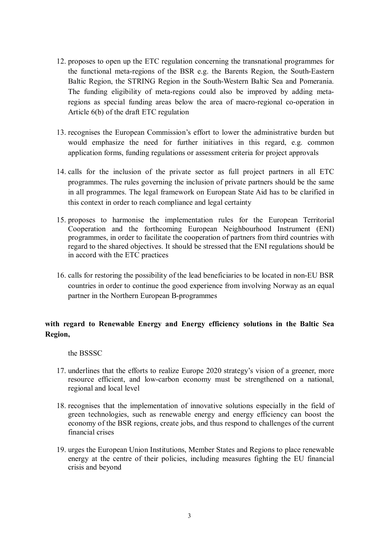- 12. proposes to open up the ETC regulation concerning the transnational programmes for the functional meta-regions of the BSR e.g. the Barents Region, the South-Eastern Baltic Region, the STRING Region in the South-Western Baltic Sea and Pomerania. The funding eligibility of meta-regions could also be improved by adding metaregions as special funding areas below the area of macro-regional co-operation in Article 6(b) of the draft ETC regulation
- 13. recognises the European Commission's effort to lower the administrative burden but would emphasize the need for further initiatives in this regard, e.g. common application forms, funding regulations or assessment criteria for project approvals
- 14. calls for the inclusion of the private sector as full project partners in all ETC programmes. The rules governing the inclusion of private partners should be the same in all programmes. The legal framework on European State Aid has to be clarified in this context in order to reach compliance and legal certainty
- 15. proposes to harmonise the implementation rules for the European Territorial Cooperation and the forthcoming European Neighbourhood Instrument (ENI) programmes, in order to facilitate the cooperation of partners from third countries with regard to the shared objectives. It should be stressed that the ENI regulations should be in accord with the ETC practices
- 16. calls for restoring the possibility of the lead beneficiaries to be located in non-EU BSR countries in order to continue the good experience from involving Norway as an equal partner in the Northern European B-programmes

## **with regard to Renewable Energy and Energy efficiency solutions in the Baltic Sea Region,**

- 17. underlines that the efforts to realize Europe 2020 strategy's vision of a greener, more resource efficient, and low-carbon economy must be strengthened on a national, regional and local level
- 18. recognises that the implementation of innovative solutions especially in the field of green technologies, such as renewable energy and energy efficiency can boost the economy of the BSR regions, create jobs, and thus respond to challenges of the current financial crises
- 19. urges the European Union Institutions, Member States and Regions to place renewable energy at the centre of their policies, including measures fighting the EU financial crisis and beyond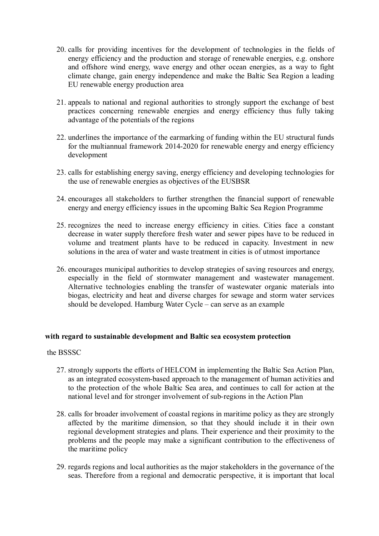- 20. calls for providing incentives for the development of technologies in the fields of energy efficiency and the production and storage of renewable energies, e.g. onshore and offshore wind energy, wave energy and other ocean energies, as a way to fight climate change, gain energy independence and make the Baltic Sea Region a leading EU renewable energy production area
- 21. appeals to national and regional authorities to strongly support the exchange of best practices concerning renewable energies and energy efficiency thus fully taking advantage of the potentials of the regions
- 22. underlines the importance of the earmarking of funding within the EU structural funds for the multiannual framework 2014-2020 for renewable energy and energy efficiency development
- 23. calls for establishing energy saving, energy efficiency and developing technologies for the use of renewable energies as objectives of the EUSBSR
- 24. encourages all stakeholders to further strengthen the financial support of renewable energy and energy efficiency issues in the upcoming Baltic Sea Region Programme
- 25. recognizes the need to increase energy efficiency in cities. Cities face a constant decrease in water supply therefore fresh water and sewer pipes have to be reduced in volume and treatment plants have to be reduced in capacity. Investment in new solutions in the area of water and waste treatment in cities is of utmost importance
- 26. encourages municipal authorities to develop strategies of saving resources and energy, especially in the field of stormwater management and wastewater management. Alternative technologies enabling the transfer of wastewater organic materials into biogas, electricity and heat and diverse charges for sewage and storm water services should be developed. Hamburg Water Cycle – can serve as an example

#### **with regard to sustainable development and Baltic sea ecosystem protection**

- 27. strongly supports the efforts of HELCOM in implementing the Baltic Sea Action Plan, as an integrated ecosystem-based approach to the management of human activities and to the protection of the whole Baltic Sea area, and continues to call for action at the national level and for stronger involvement of sub-regions in the Action Plan
- 28. calls for broader involvement of coastal regions in maritime policy as they are strongly affected by the maritime dimension, so that they should include it in their own regional development strategies and plans. Their experience and their proximity to the problems and the people may make a significant contribution to the effectiveness of the maritime policy
- 29. regards regions and local authorities as the major stakeholders in the governance of the seas. Therefore from a regional and democratic perspective, it is important that local